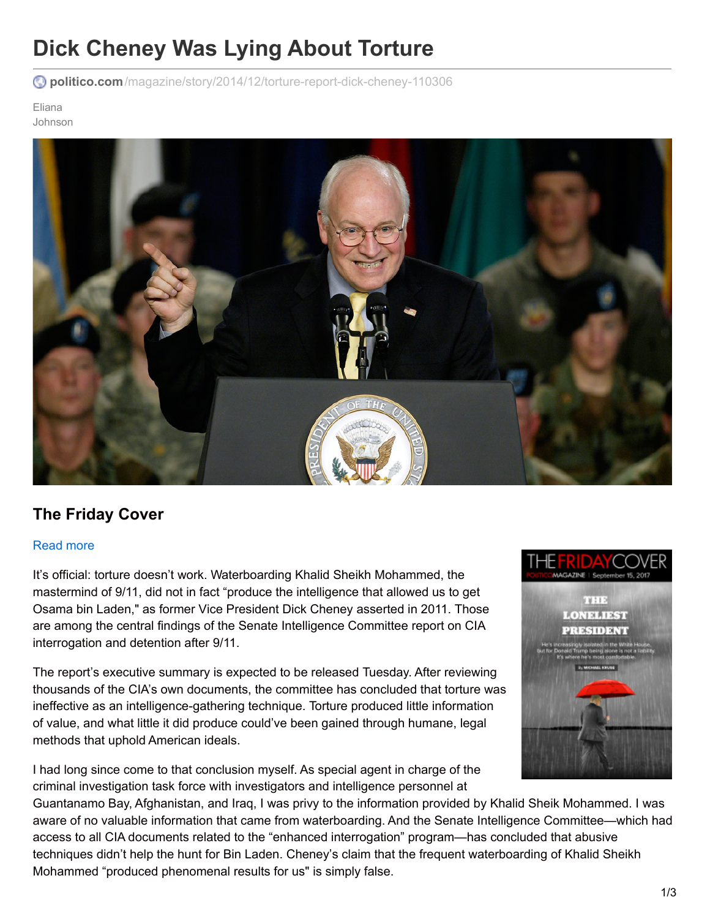# **Dick Cheney Was Lying About Torture**

**politico.com**[/magazine/story/2014/12/torture-report-dick-cheney-110306](http://www.politico.com/magazine/story/2014/12/torture-report-dick-cheney-110306)

Eliana Johnson



## **The Friday Cover**

#### [Read](http://www.politico.com/magazine/story/2017/09/15/donald-trump-isolated-alone-trumpology-white-house-215604) more

It's official: torture doesn't work. Waterboarding Khalid Sheikh Mohammed, the mastermind of 9/11, did not in fact "produce the intelligence that allowed us to get Osama bin Laden," as former Vice President Dick Cheney asserted in 2011. Those are among the central findings of the Senate Intelligence Committee report on CIA interrogation and detention after 9/11.

The report's executive summary is expected to be released Tuesday. After reviewing thousands of the CIA's own documents, the committee has concluded that torture was ineffective as an intelligence-gathering technique. Torture produced little information of value, and what little it did produce could've been gained through humane, legal methods that uphold American ideals.

I had long since come to that conclusion myself. As special agent in charge of the criminal investigation task force with investigators and intelligence personnel at



Guantanamo Bay, Afghanistan, and Iraq, I was privy to the information provided by Khalid Sheik Mohammed. I was aware of no valuable information that came from waterboarding. And the Senate Intelligence Committee—which had access to all CIA documents related to the "enhanced interrogation" program—has concluded that abusive techniques didn't help the hunt for Bin Laden. Cheney's claim that the frequent waterboarding of Khalid Sheikh Mohammed "produced phenomenal results for us" is simply false.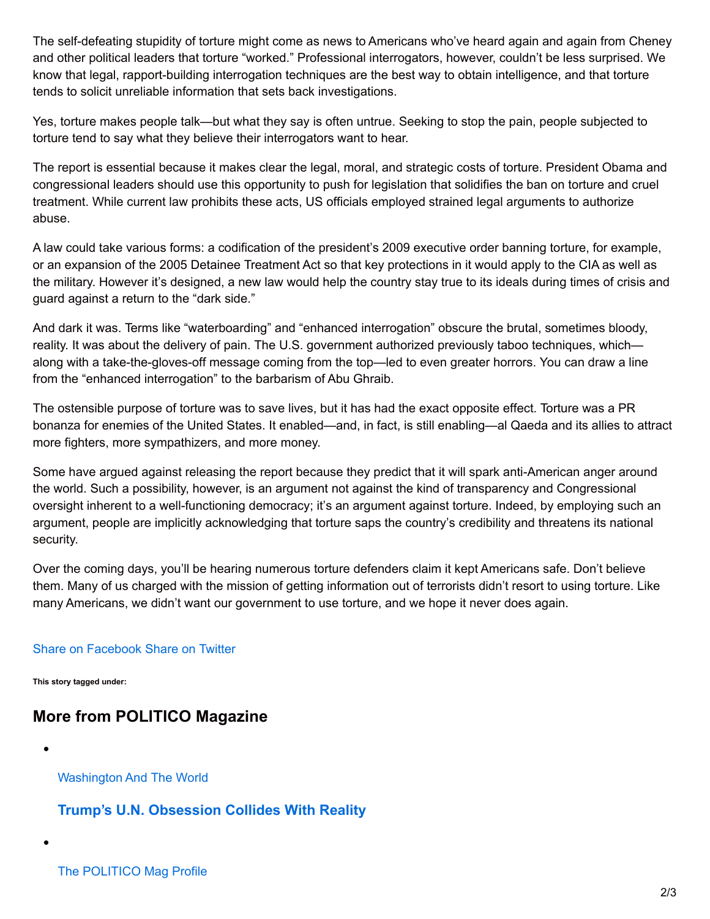The self-defeating stupidity of torture might come as news to Americans who've heard again and again from Cheney and other political leaders that torture "worked." Professional interrogators, however, couldn't be less surprised. We know that legal, rapport-building interrogation techniques are the best way to obtain intelligence, and that torture tends to solicit unreliable information that sets back investigations.

Yes, torture makes people talk—but what they say is often untrue. Seeking to stop the pain, people subjected to torture tend to say what they believe their interrogators want to hear.

The report is essential because it makes clear the legal, moral, and strategic costs of torture. President Obama and congressional leaders should use this opportunity to push for legislation that solidifies the ban on torture and cruel treatment. While current law prohibits these acts, US officials employed strained legal arguments to authorize abuse.

A law could take various forms: a codification of the president's 2009 executive order banning torture, for example, or an expansion of the 2005 Detainee Treatment Act so that key protections in it would apply to the CIA as well as the military. However it's designed, a new law would help the country stay true to its ideals during times of crisis and guard against a return to the "dark side."

And dark it was. Terms like "waterboarding" and "enhanced interrogation" obscure the brutal, sometimes bloody, reality. It was about the delivery of pain. The U.S. government authorized previously taboo techniques, which along with a take-the-gloves-off message coming from the top—led to even greater horrors. You can draw a line from the "enhanced interrogation" to the barbarism of Abu Ghraib.

The ostensible purpose of torture was to save lives, but it has had the exact opposite effect. Torture was a PR bonanza for enemies of the United States. It enabled—and, in fact, is still enabling—al Qaeda and its allies to attract more fighters, more sympathizers, and more money.

Some have argued against releasing the report because they predict that it will spark anti-American anger around the world. Such a possibility, however, is an argument not against the kind of transparency and Congressional oversight inherent to a well-functioning democracy; it's an argument against torture. Indeed, by employing such an argument, people are implicitly acknowledging that torture saps the country's credibility and threatens its national security.

Over the coming days, you'll be hearing numerous torture defenders claim it kept Americans safe. Don't believe them. Many of us charged with the mission of getting information out of terrorists didn't resort to using torture. Like many Americans, we didn't want our government to use torture, and we hope it never does again.

#### Share on [Facebook](http://api.addthis.com/oexchange/0.8/forward/facebook/offer?pco=tbx32nj-1.0&url=http://politi.co/1sec6kW&pubid=politico.com/magazine) Share on [Twitter](http://api.addthis.com/oexchange/0.8/forward/twitter/offer?pco=tbx32nj-1.0&url=http://politi.co/1sec6kW&pubid=politico.com/magazine&text=Dick+Cheney+Was+Lying+About+Torture)

**This story tagged under:**

## **More from POLITICO Magazine**

[Washington](http://www.politico.com/magazine/tag/washington-and-the-world) And The World

### **Trump's U.N. [Obsession](http://www.politico.com/magazine/story/2017/09/17/trump-un-general-assembly-test-215614) Collides With Reality**